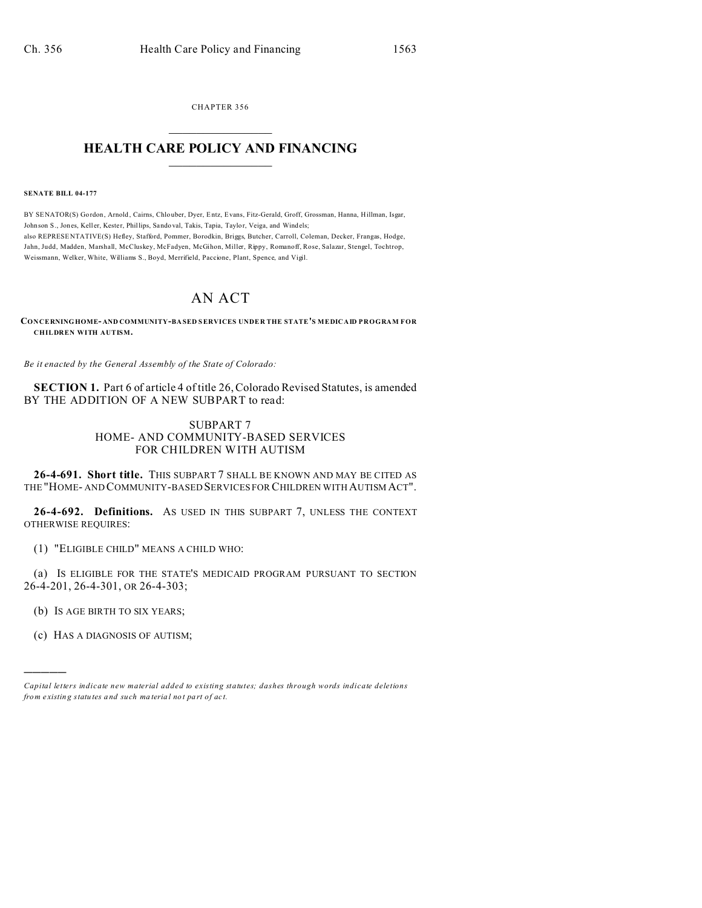CHAPTER 356  $\overline{\phantom{a}}$  , where  $\overline{\phantom{a}}$ 

## **HEALTH CARE POLICY AND FINANCING**  $\_$   $\_$   $\_$   $\_$   $\_$   $\_$   $\_$   $\_$

**SENATE BILL 04-177**

BY SENATOR(S) Gordon, Arnold , Cairns, Chlo uber, Dyer, Entz, Evans, Fitz-Gerald, Groff, Grossman, Hanna, Hillman, Isgar, Johnson S., Jones, Keller, Kester, Phillips, Sando val, Takis, Tapia, Taylor, Veiga, and Windels; also REPRESE NTATIVE(S) Hefley, Stafford, Pommer, Borodkin, Briggs, Butcher, Carroll, Coleman, Decker, Frangas, Hodge, Jahn, Judd, Madden, Marshall, McCluskey, McFadyen, McGihon, Miller, Rippy, Romanoff, Rose, Salazar, Stengel, Tochtrop, Weissmann, Welker, White, Williams S., Boyd, Merrifield, Paccione, Plant, Spence, and Vigil.

## AN ACT

**CONCERNINGHOME- AND COMMUNITY-BA SED SERVICES UNDE R THE STATE'S MEDICAID PROGRAM FOR CHILDREN WITH AUTISM.**

*Be it enacted by the General Assembly of the State of Colorado:*

**SECTION 1.** Part 6 of article 4 of title 26, Colorado Revised Statutes, is amended BY THE ADDITION OF A NEW SUBPART to read:

## SUBPART 7 HOME- AND COMMUNITY-BASED SERVICES FOR CHILDREN WITH AUTISM

**26-4-691. Short title.** THIS SUBPART 7 SHALL BE KNOWN AND MAY BE CITED AS THE "HOME- AND COMMUNITY-BASED SERVICES FOR CHILDREN WITH AUTISM ACT".

**26-4-692. Definitions.** AS USED IN THIS SUBPART 7, UNLESS THE CONTEXT OTHERWISE REQUIRES:

(1) "ELIGIBLE CHILD" MEANS A CHILD WHO:

(a) IS ELIGIBLE FOR THE STATE'S MEDICAID PROGRAM PURSUANT TO SECTION 26-4-201, 26-4-301, OR 26-4-303;

(b) IS AGE BIRTH TO SIX YEARS;

(c) HAS A DIAGNOSIS OF AUTISM;

)))))

*Capital letters indicate new material added to existing statutes; dashes through words indicate deletions from e xistin g statu tes a nd such ma teria l no t pa rt of ac t.*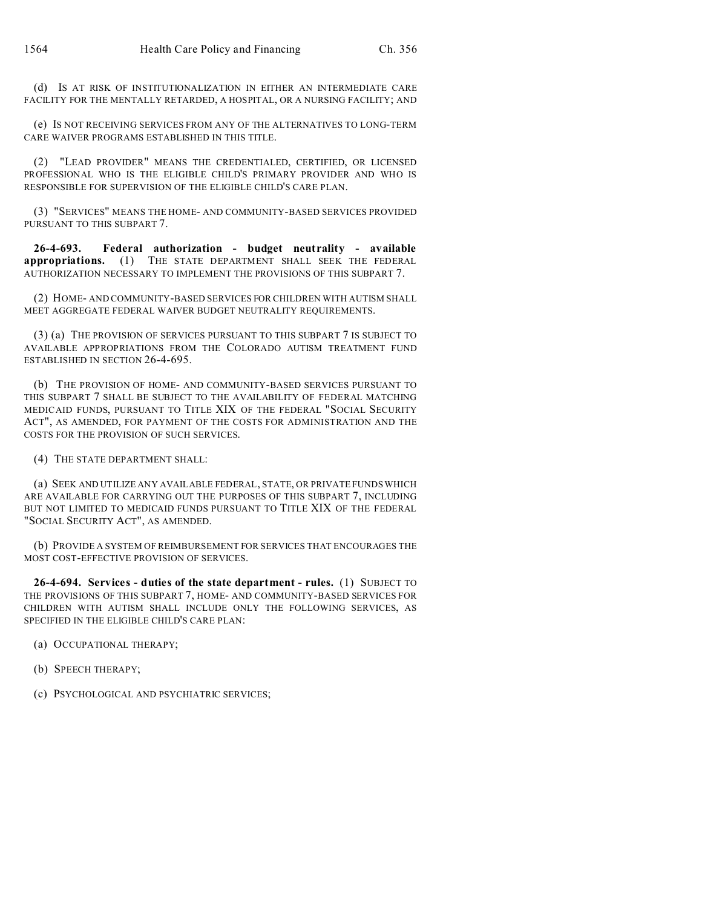(d) IS AT RISK OF INSTITUTIONALIZATION IN EITHER AN INTERMEDIATE CARE FACILITY FOR THE MENTALLY RETARDED, A HOSPITAL, OR A NURSING FACILITY; AND

(e) IS NOT RECEIVING SERVICES FROM ANY OF THE ALTERNATIVES TO LONG-TERM CARE WAIVER PROGRAMS ESTABLISHED IN THIS TITLE.

(2) "LEAD PROVIDER" MEANS THE CREDENTIALED, CERTIFIED, OR LICENSED PROFESSIONAL WHO IS THE ELIGIBLE CHILD'S PRIMARY PROVIDER AND WHO IS RESPONSIBLE FOR SUPERVISION OF THE ELIGIBLE CHILD'S CARE PLAN.

(3) "SERVICES" MEANS THE HOME- AND COMMUNITY-BASED SERVICES PROVIDED PURSUANT TO THIS SUBPART 7.

**26-4-693. Federal authorization - budget neutrality - available appropriations.** (1) THE STATE DEPARTMENT SHALL SEEK THE FEDERAL AUTHORIZATION NECESSARY TO IMPLEMENT THE PROVISIONS OF THIS SUBPART 7.

(2) HOME- AND COMMUNITY-BASED SERVICES FOR CHILDREN WITH AUTISM SHALL MEET AGGREGATE FEDERAL WAIVER BUDGET NEUTRALITY REQUIREMENTS.

(3) (a) THE PROVISION OF SERVICES PURSUANT TO THIS SUBPART 7 IS SUBJECT TO AVAILABLE APPROPRIATIONS FROM THE COLORADO AUTISM TREATMENT FUND ESTABLISHED IN SECTION 26-4-695.

(b) THE PROVISION OF HOME- AND COMMUNITY-BASED SERVICES PURSUANT TO THIS SUBPART 7 SHALL BE SUBJECT TO THE AVAILABILITY OF FEDERAL MATCHING MEDICAID FUNDS, PURSUANT TO TITLE XIX OF THE FEDERAL "SOCIAL SECURITY ACT", AS AMENDED, FOR PAYMENT OF THE COSTS FOR ADMINISTRATION AND THE COSTS FOR THE PROVISION OF SUCH SERVICES.

(4) THE STATE DEPARTMENT SHALL:

(a) SEEK AND UTILIZE ANY AVAILABLE FEDERAL, STATE, OR PRIVATE FUNDS WHICH ARE AVAILABLE FOR CARRYING OUT THE PURPOSES OF THIS SUBPART 7, INCLUDING BUT NOT LIMITED TO MEDICAID FUNDS PURSUANT TO TITLE XIX OF THE FEDERAL "SOCIAL SECURITY ACT", AS AMENDED.

(b) PROVIDE A SYSTEM OF REIMBURSEMENT FOR SERVICES THAT ENCOURAGES THE MOST COST-EFFECTIVE PROVISION OF SERVICES.

**26-4-694. Services - duties of the state department - rules.** (1) SUBJECT TO THE PROVISIONS OF THIS SUBPART 7, HOME- AND COMMUNITY-BASED SERVICES FOR CHILDREN WITH AUTISM SHALL INCLUDE ONLY THE FOLLOWING SERVICES, AS SPECIFIED IN THE ELIGIBLE CHILD'S CARE PLAN:

(a) OCCUPATIONAL THERAPY;

(b) SPEECH THERAPY;

(c) PSYCHOLOGICAL AND PSYCHIATRIC SERVICES;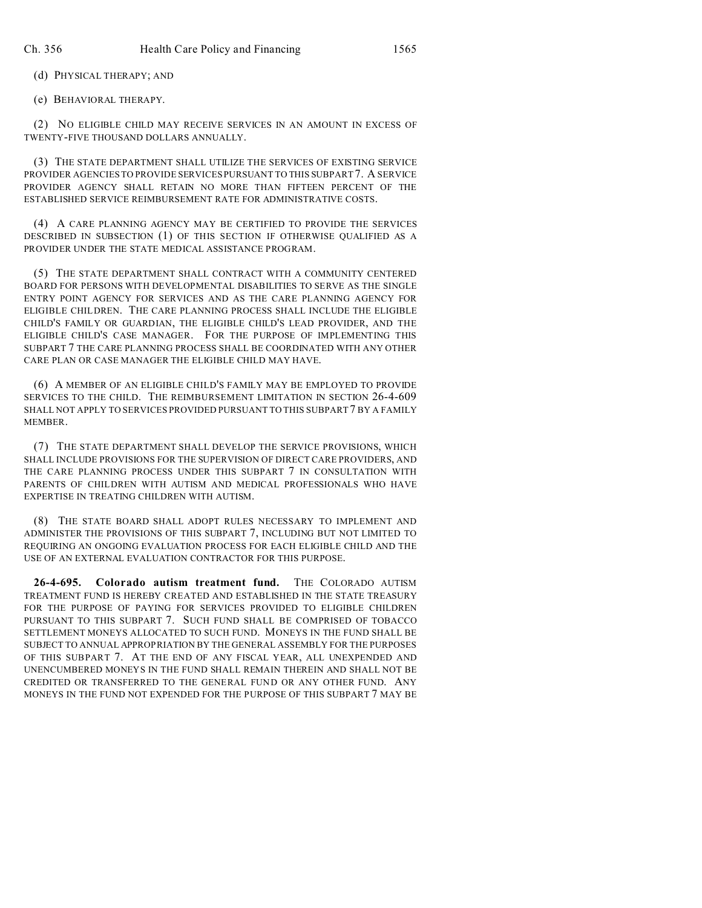(d) PHYSICAL THERAPY; AND

(e) BEHAVIORAL THERAPY.

(2) NO ELIGIBLE CHILD MAY RECEIVE SERVICES IN AN AMOUNT IN EXCESS OF TWENTY-FIVE THOUSAND DOLLARS ANNUALLY.

(3) THE STATE DEPARTMENT SHALL UTILIZE THE SERVICES OF EXISTING SERVICE PROVIDER AGENCIES TO PROVIDE SERVICES PURSUANT TO THIS SUBPART7. A SERVICE PROVIDER AGENCY SHALL RETAIN NO MORE THAN FIFTEEN PERCENT OF THE ESTABLISHED SERVICE REIMBURSEMENT RATE FOR ADMINISTRATIVE COSTS.

(4) A CARE PLANNING AGENCY MAY BE CERTIFIED TO PROVIDE THE SERVICES DESCRIBED IN SUBSECTION (1) OF THIS SECTION IF OTHERWISE QUALIFIED AS A PROVIDER UNDER THE STATE MEDICAL ASSISTANCE PROGRAM.

(5) THE STATE DEPARTMENT SHALL CONTRACT WITH A COMMUNITY CENTERED BOARD FOR PERSONS WITH DEVELOPMENTAL DISABILITIES TO SERVE AS THE SINGLE ENTRY POINT AGENCY FOR SERVICES AND AS THE CARE PLANNING AGENCY FOR ELIGIBLE CHILDREN. THE CARE PLANNING PROCESS SHALL INCLUDE THE ELIGIBLE CHILD'S FAMILY OR GUARDIAN, THE ELIGIBLE CHILD'S LEAD PROVIDER, AND THE ELIGIBLE CHILD'S CASE MANAGER. FOR THE PURPOSE OF IMPLEMENTING THIS SUBPART 7 THE CARE PLANNING PROCESS SHALL BE COORDINATED WITH ANY OTHER CARE PLAN OR CASE MANAGER THE ELIGIBLE CHILD MAY HAVE.

(6) A MEMBER OF AN ELIGIBLE CHILD'S FAMILY MAY BE EMPLOYED TO PROVIDE SERVICES TO THE CHILD. THE REIMBURSEMENT LIMITATION IN SECTION 26-4-609 SHALL NOT APPLY TO SERVICES PROVIDED PURSUANT TO THIS SUBPART 7 BY A FAMILY **MEMBER** 

(7) THE STATE DEPARTMENT SHALL DEVELOP THE SERVICE PROVISIONS, WHICH SHALL INCLUDE PROVISIONS FOR THE SUPERVISION OF DIRECT CARE PROVIDERS, AND THE CARE PLANNING PROCESS UNDER THIS SUBPART 7 IN CONSULTATION WITH PARENTS OF CHILDREN WITH AUTISM AND MEDICAL PROFESSIONALS WHO HAVE EXPERTISE IN TREATING CHILDREN WITH AUTISM.

(8) THE STATE BOARD SHALL ADOPT RULES NECESSARY TO IMPLEMENT AND ADMINISTER THE PROVISIONS OF THIS SUBPART 7, INCLUDING BUT NOT LIMITED TO REQUIRING AN ONGOING EVALUATION PROCESS FOR EACH ELIGIBLE CHILD AND THE USE OF AN EXTERNAL EVALUATION CONTRACTOR FOR THIS PURPOSE.

**26-4-695. Colorado autism treatment fund.** THE COLORADO AUTISM TREATMENT FUND IS HEREBY CREATED AND ESTABLISHED IN THE STATE TREASURY FOR THE PURPOSE OF PAYING FOR SERVICES PROVIDED TO ELIGIBLE CHILDREN PURSUANT TO THIS SUBPART 7. SUCH FUND SHALL BE COMPRISED OF TOBACCO SETTLEMENT MONEYS ALLOCATED TO SUCH FUND. MONEYS IN THE FUND SHALL BE SUBJECT TO ANNUAL APPROPRIATION BY THE GENERAL ASSEMBLY FOR THE PURPOSES OF THIS SUBPART 7. AT THE END OF ANY FISCAL YEAR, ALL UNEXPENDED AND UNENCUMBERED MONEYS IN THE FUND SHALL REMAIN THEREIN AND SHALL NOT BE CREDITED OR TRANSFERRED TO THE GENERAL FUND OR ANY OTHER FUND. ANY MONEYS IN THE FUND NOT EXPENDED FOR THE PURPOSE OF THIS SUBPART 7 MAY BE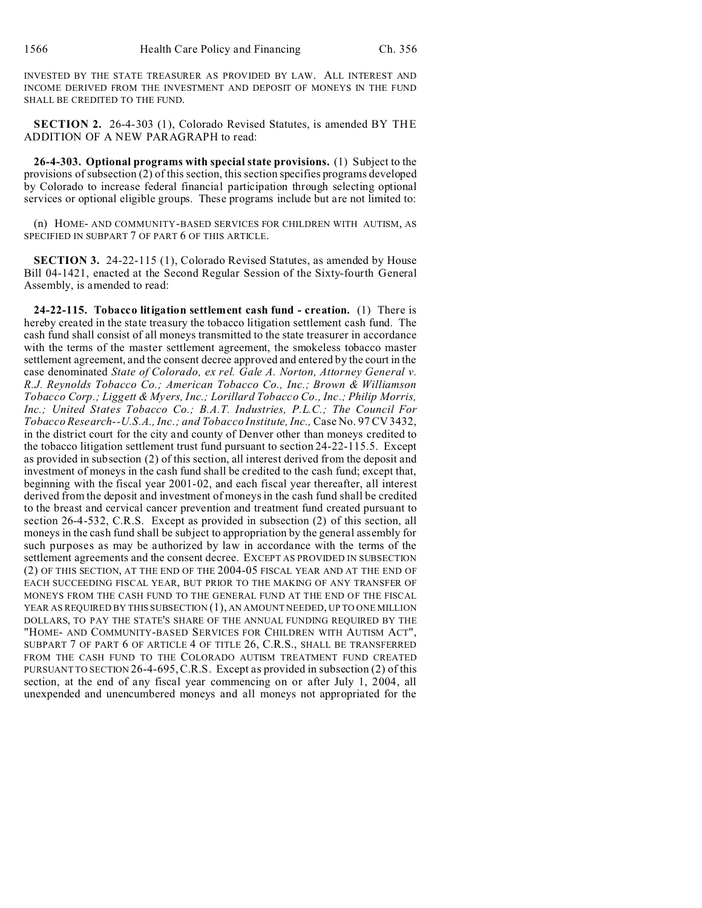INVESTED BY THE STATE TREASURER AS PROVIDED BY LAW. ALL INTEREST AND INCOME DERIVED FROM THE INVESTMENT AND DEPOSIT OF MONEYS IN THE FUND SHALL BE CREDITED TO THE FUND.

**SECTION 2.** 26-4-303 (1), Colorado Revised Statutes, is amended BY THE ADDITION OF A NEW PARAGRAPH to read:

**26-4-303. Optional programs with special state provisions.** (1) Subject to the provisions of subsection (2) of this section, this section specifies programs developed by Colorado to increase federal financial participation through selecting optional services or optional eligible groups. These programs include but are not limited to:

(n) HOME- AND COMMUNITY-BASED SERVICES FOR CHILDREN WITH AUTISM, AS SPECIFIED IN SUBPART 7 OF PART 6 OF THIS ARTICLE.

**SECTION 3.** 24-22-115 (1), Colorado Revised Statutes, as amended by House Bill 04-1421, enacted at the Second Regular Session of the Sixty-fourth General Assembly, is amended to read:

**24-22-115. Tobacco litigation settlement cash fund - creation.** (1) There is hereby created in the state treasury the tobacco litigation settlement cash fund. The cash fund shall consist of all moneys transmitted to the state treasurer in accordance with the terms of the master settlement agreement, the smokeless tobacco master settlement agreement, and the consent decree approved and entered by the court in the case denominated *State of Colorado, ex rel. Gale A. Norton, Attorney General v. R.J. Reynolds Tobacco Co.; American Tobacco Co., Inc.; Brown & Williamson Tobacco Corp.; Liggett & Myers, Inc.; Lorillard Tobacco Co., Inc.; Philip Morris, Inc.; United States Tobacco Co.; B.A.T. Industries, P.L.C.; The Council For Tobacco Research--U.S.A., Inc.; and Tobacco Institute, Inc.,* Case No. 97 CV 3432, in the district court for the city and county of Denver other than moneys credited to the tobacco litigation settlement trust fund pursuant to section 24-22-115.5. Except as provided in subsection (2) of this section, all interest derived from the deposit and investment of moneys in the cash fund shall be credited to the cash fund; except that, beginning with the fiscal year 2001-02, and each fiscal year thereafter, all interest derived from the deposit and investment of moneys in the cash fund shall be credited to the breast and cervical cancer prevention and treatment fund created pursuant to section 26-4-532, C.R.S. Except as provided in subsection (2) of this section, all moneys in the cash fund shall be subject to appropriation by the general assembly for such purposes as may be authorized by law in accordance with the terms of the settlement agreements and the consent decree. EXCEPT AS PROVIDED IN SUBSECTION (2) OF THIS SECTION, AT THE END OF THE 2004-05 FISCAL YEAR AND AT THE END OF EACH SUCCEEDING FISCAL YEAR, BUT PRIOR TO THE MAKING OF ANY TRANSFER OF MONEYS FROM THE CASH FUND TO THE GENERAL FUND AT THE END OF THE FISCAL YEAR AS REQUIRED BY THIS SUBSECTION (1), AN AMOUNT NEEDED, UP TO ONE MILLION DOLLARS, TO PAY THE STATE'S SHARE OF THE ANNUAL FUNDING REQUIRED BY THE "HOME- AND COMMUNITY-BASED SERVICES FOR CHILDREN WITH AUTISM ACT", SUBPART 7 OF PART 6 OF ARTICLE 4 OF TITLE 26, C.R.S., SHALL BE TRANSFERRED FROM THE CASH FUND TO THE COLORADO AUTISM TREATMENT FUND CREATED PURSUANT TO SECTION 26-4-695, C.R.S. Except as provided in subsection (2) of this section, at the end of any fiscal year commencing on or after July 1, 2004, all unexpended and unencumbered moneys and all moneys not appropriated for the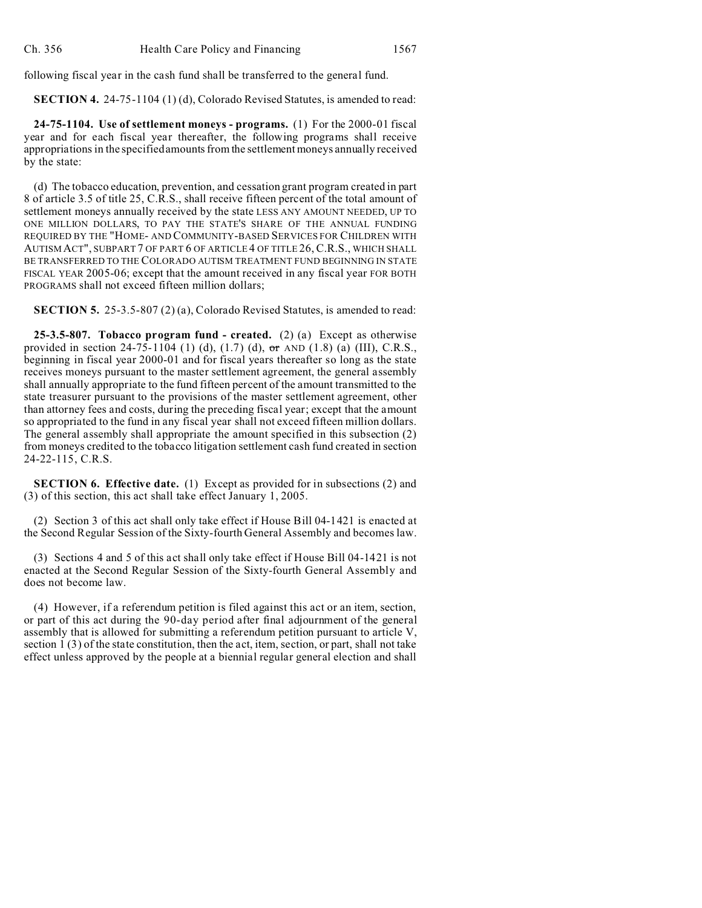following fiscal year in the cash fund shall be transferred to the general fund.

**SECTION 4.** 24-75-1104 (1) (d), Colorado Revised Statutes, is amended to read:

**24-75-1104. Use of settlement moneys - programs.** (1) For the 2000-01 fiscal year and for each fiscal year thereafter, the following programs shall receive appropriations in the specified amounts from the settlement moneys annually received by the state:

(d) The tobacco education, prevention, and cessation grant program created in part 8 of article 3.5 of title 25, C.R.S., shall receive fifteen percent of the total amount of settlement moneys annually received by the state LESS ANY AMOUNT NEEDED, UP TO ONE MILLION DOLLARS, TO PAY THE STATE'S SHARE OF THE ANNUAL FUNDING REQUIRED BY THE "HOME- AND COMMUNITY-BASED SERVICES FOR CHILDREN WITH AUTISM ACT", SUBPART 7 OF PART 6 OF ARTICLE 4 OF TITLE 26, C.R.S., WHICH SHALL BE TRANSFERRED TO THE COLORADO AUTISM TREATMENT FUND BEGINNING IN STATE FISCAL YEAR 2005-06; except that the amount received in any fiscal year FOR BOTH PROGRAMS shall not exceed fifteen million dollars;

**SECTION 5.** 25-3.5-807 (2) (a), Colorado Revised Statutes, is amended to read:

**25-3.5-807. Tobacco program fund - created.** (2) (a) Except as otherwise provided in section 24-75-1104 (1) (d),  $(1.7)$  (d),  $\sigma$ r AND  $(1.8)$  (a) (III), C.R.S., beginning in fiscal year 2000-01 and for fiscal years thereafter so long as the state receives moneys pursuant to the master settlement agreement, the general assembly shall annually appropriate to the fund fifteen percent of the amount transmitted to the state treasurer pursuant to the provisions of the master settlement agreement, other than attorney fees and costs, during the preceding fiscal year; except that the amount so appropriated to the fund in any fiscal year shall not exceed fifteen million dollars. The general assembly shall appropriate the amount specified in this subsection (2) from moneys credited to the tobacco litigation settlement cash fund created in section 24-22-115, C.R.S.

**SECTION 6. Effective date.** (1) Except as provided for in subsections (2) and (3) of this section, this act shall take effect January 1, 2005.

(2) Section 3 of this act shall only take effect if House Bill 04-1421 is enacted at the Second Regular Session of the Sixty-fourth General Assembly and becomes law.

(3) Sections 4 and 5 of this act shall only take effect if House Bill 04-1421 is not enacted at the Second Regular Session of the Sixty-fourth General Assembly and does not become law.

(4) However, if a referendum petition is filed against this act or an item, section, or part of this act during the 90-day period after final adjournment of the general assembly that is allowed for submitting a referendum petition pursuant to article V, section 1 (3) of the state constitution, then the act, item, section, or part, shall not take effect unless approved by the people at a biennial regular general election and shall